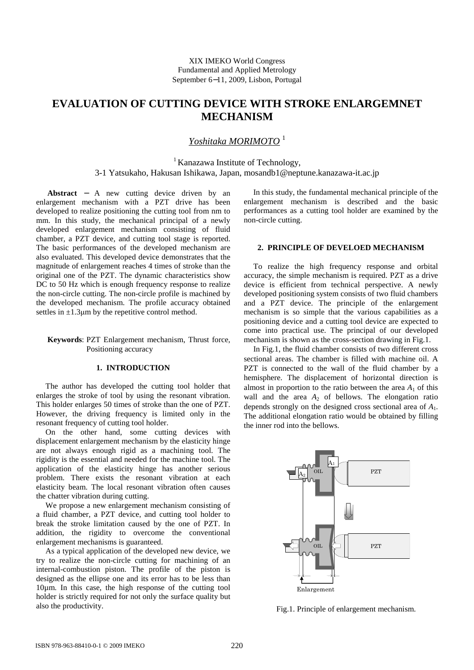# **EVALUATION OF CUTTING DEVICE WITH STROKE ENLARGEMNET MECHANISM**

# *Yoshitaka MORIMOTO* <sup>1</sup>

<sup>1</sup> Kanazawa Institute of Technology, 3-1 Yatsukaho, Hakusan Ishikawa, Japan, mosandb1@neptune.kanazawa-it.ac.jp

**Abstract** − A new cutting device driven by an enlargement mechanism with a PZT drive has been developed to realize positioning the cutting tool from nm to mm. In this study, the mechanical principal of a newly developed enlargement mechanism consisting of fluid chamber, a PZT device, and cutting tool stage is reported. The basic performances of the developed mechanism are also evaluated. This developed device demonstrates that the magnitude of enlargement reaches 4 times of stroke than the original one of the PZT. The dynamic characteristics show DC to 50 Hz which is enough frequency response to realize the non-circle cutting. The non-circle profile is machined by the developed mechanism. The profile accuracy obtained settles in  $\pm 1.3 \mu m$  by the repetitive control method.

# **Keywords**: PZT Enlargement mechanism, Thrust force, Positioning accuracy

### **1. INTRODUCTION**

The author has developed the cutting tool holder that enlarges the stroke of tool by using the resonant vibration. This holder enlarges 50 times of stroke than the one of PZT. However, the driving frequency is limited only in the resonant frequency of cutting tool holder.

On the other hand, some cutting devices with displacement enlargement mechanism by the elasticity hinge are not always enough rigid as a machining tool. The rigidity is the essential and needed for the machine tool. The application of the elasticity hinge has another serious problem. There exists the resonant vibration at each elasticity beam. The local resonant vibration often causes the chatter vibration during cutting.

We propose a new enlargement mechanism consisting of a fluid chamber, a PZT device, and cutting tool holder to break the stroke limitation caused by the one of PZT. In addition, the rigidity to overcome the conventional enlargement mechanisms is guaranteed.

As a typical application of the developed new device, we try to realize the non-circle cutting for machining of an internal-combustion piston. The profile of the piston is designed as the ellipse one and its error has to be less than 10µm. In this case, the high response of the cutting tool holder is strictly required for not only the surface quality but also the productivity.

In this study, the fundamental mechanical principle of the enlargement mechanism is described and the basic performances as a cutting tool holder are examined by the non-circle cutting.

### **2. PRINCIPLE OF DEVELOED MECHANISM**

To realize the high frequency response and orbital accuracy, the simple mechanism is required. PZT as a drive device is efficient from technical perspective. A newly developed positioning system consists of two fluid chambers and a PZT device. The principle of the enlargement mechanism is so simple that the various capabilities as a positioning device and a cutting tool device are expected to come into practical use. The principal of our developed mechanism is shown as the cross-section drawing in Fig.1.

In Fig.1, the fluid chamber consists of two different cross sectional areas. The chamber is filled with machine oil. A PZT is connected to the wall of the fluid chamber by a hemisphere. The displacement of horizontal direction is almost in proportion to the ratio between the area  $A_1$  of this wall and the area  $A_2$  of bellows. The elongation ratio depends strongly on the designed cross sectional area of *A*1. The additional elongation ratio would be obtained by filling the inner rod into the bellows.



Fig.1. Principle of enlargement mechanism.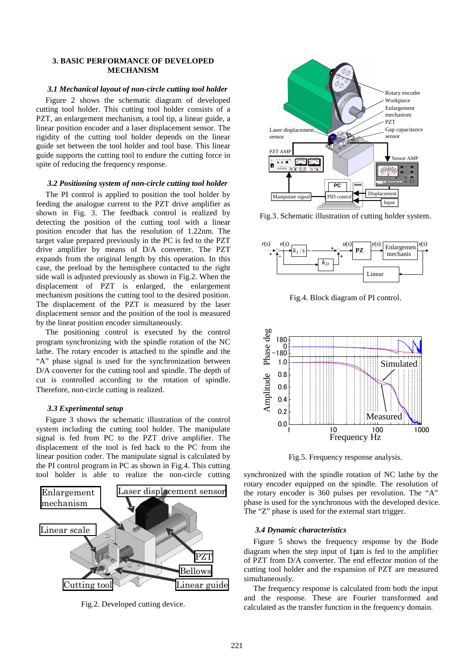## **3. BASIC PERFORMANCE OF DEVELOPED MECHANISM**

# *3.1 Mechanical layout of non-circle cutting tool holder*

Figure 2 shows the schematic diagram of developed cutting tool holder. This cutting tool holder consists of a PZT, an enlargement mechanism, a tool tip, a linear guide, a linear position encoder and a laser displacement sensor. The rigidity of the cutting tool holder depends on the linear guide set between the tool holder and tool base. This linear guide supports the cutting tool to endure the cutting force in spite of reducing the frequency response.

### *3.2 Positioning system of non-circle cutting tool holder*

The PI control is applied to position the tool holder by feeding the analogue current to the PZT drive amplifier as shown in Fig. 3. The feedback control is realized by detecting the position of the cutting tool with a linear position encoder that has the resolution of 1.22nm. The target value prepared previously in the PC is fed to the PZT drive amplifier by means of D/A converter. The PZT expands from the original length by this operation. In this case, the preload by the hemisphere contacted to the right side wall is adjusted previously as shown in Fig.2. When the displacement of PZT is enlarged, the enlargement mechanism positions the cutting tool to the desired position. The displacement of the PZT is measured by the laser displacement sensor and the position of the tool is measured by the linear position encoder simultaneously.

The positioning control is executed by the control program synchronizing with the spindle rotation of the NC lathe. The rotary encoder is attached to the spindle and the "A" phase signal is used for the synchronization between D/A converter for the cutting tool and spindle. The depth of cut is controlled according to the rotation of spindle. Therefore, non-circle cutting is realized.

# *3.3 Experimental setup*

Figure 3 shows the schematic illustration of the control system including the cutting tool holder. The manipulate signal is fed from PC to the PZT drive amplifier. The displacement of the tool is fed back to the PC from the linear position coder. The manipulate signal is calculated by the PI control program in PC as shown in Fig.4. This cutting tool holder is able to realize the non-circle cutting synchronized with the spindle rotation of NC lathe by the



Fig.2. Developed cutting device.



Fig.3. Schematic illustration of cutting holder system.



Fig.4. Block diagram of PI control.



Fig.5. Frequency response analysis.

rotary encoder equipped on the spindle. The resolution of the rotary encoder is 360 pulses per revolution. The "A" phase is used for the synchronous with the developed device. The "Z" phase is used for the external start trigger.

#### *3.4 Dynamic characteristics*

Figure 5 shows the frequency response by the Bode diagram when the step input of 1µm is fed to the amplifier of PZT from D/A converter. The end effector motion of the cutting tool holder and the expansion of PZT are measured simultaneously.

The frequency response is calculated from both the input and the response. These are Fourier transformed and calculated as the transfer function in the frequency domain.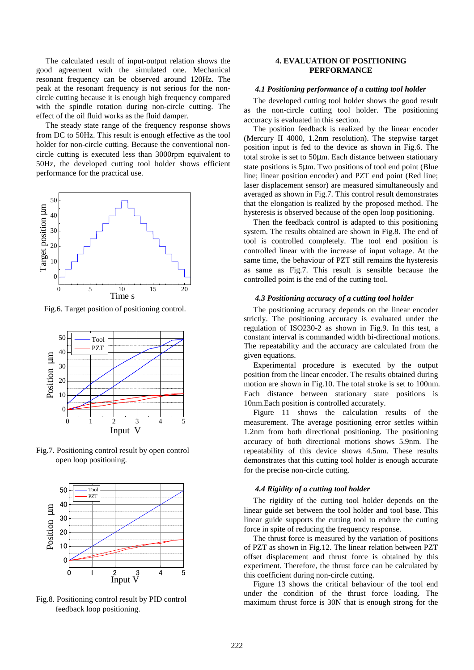The calculated result of input-output relation shows the good agreement with the simulated one. Mechanical resonant frequency can be observed around 120Hz. The peak at the resonant frequency is not serious for the noncircle cutting because it is enough high frequency compared with the spindle rotation during non-circle cutting. The effect of the oil fluid works as the fluid damper.

The steady state range of the frequency response shows from DC to 50Hz. This result is enough effective as the tool holder for non-circle cutting. Because the conventional noncircle cutting is executed less than 3000rpm equivalent to 50Hz, the developed cutting tool holder shows efficient performance for the practical use.



Fig.6. Target position of positioning control.



Fig.7. Positioning control result by open control open loop positioning.



Fig.8. Positioning control result by PID control feedback loop positioning.

# **4. EVALUATION OF POSITIONING PERFORMANCE**

### *4.1 Positioning performance of a cutting tool holder*

The developed cutting tool holder shows the good result as the non-circle cutting tool holder. The positioning accuracy is evaluated in this section.

The position feedback is realized by the linear encoder (Mercury II 4000, 1.2nm resolution). The stepwise target position input is fed to the device as shown in Fig.6. The total stroke is set to 50µm. Each distance between stationary state positions is 5µm. Two positions of tool end point (Blue line; linear position encoder) and PZT end point (Red line; laser displacement sensor) are measured simultaneously and averaged as shown in Fig.7. This control result demonstrates that the elongation is realized by the proposed method. The hysteresis is observed because of the open loop positioning.

Then the feedback control is adapted to this positioning system. The results obtained are shown in Fig.8. The end of tool is controlled completely. The tool end position is controlled linear with the increase of input voltage. At the same time, the behaviour of PZT still remains the hysteresis as same as Fig.7. This result is sensible because the controlled point is the end of the cutting tool.

### *4.3 Positioning accuracy of a cutting tool holder*

The positioning accuracy depends on the linear encoder strictly. The positioning accuracy is evaluated under the regulation of ISO230-2 as shown in Fig.9. In this test, a constant interval is commanded width bi-directional motions. The repeatability and the accuracy are calculated from the given equations.

Experimental procedure is executed by the output position from the linear encoder. The results obtained during motion are shown in Fig.10. The total stroke is set to 100nm. Each distance between stationary state positions is 10nm.Each position is controlled accurately.

Figure 11 shows the calculation results of the measurement. The average positioning error settles within 1.2nm from both directional positioning. The positioning accuracy of both directional motions shows 5.9nm. The repeatability of this device shows 4.5nm. These results demonstrates that this cutting tool holder is enough accurate for the precise non-circle cutting.

### *4.4 Rigidity of a cutting tool holder*

The rigidity of the cutting tool holder depends on the linear guide set between the tool holder and tool base. This linear guide supports the cutting tool to endure the cutting force in spite of reducing the frequency response.

The thrust force is measured by the variation of positions of PZT as shown in Fig.12. The linear relation between PZT offset displacement and thrust force is obtained by this experiment. Therefore, the thrust force can be calculated by this coefficient during non-circle cutting.

Figure 13 shows the critical behaviour of the tool end under the condition of the thrust force loading. The maximum thrust force is 30N that is enough strong for the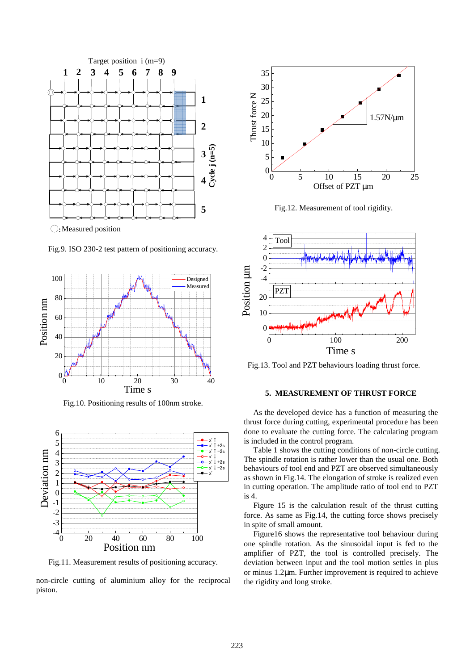

Fig.9. ISO 230-2 test pattern of positioning accuracy.



Fig.10. Positioning results of 100nm stroke.



Fig.11. Measurement results of positioning accuracy.

non-circle cutting of aluminium alloy for the reciprocal piston.



Fig.12. Measurement of tool rigidity.



Fig.13. Tool and PZT behaviours loading thrust force.

# **5. MEASUREMENT OF THRUST FORCE**

As the developed device has a function of measuring the thrust force during cutting, experimental procedure has been done to evaluate the cutting force. The calculating program is included in the control program.

Table 1 shows the cutting conditions of non-circle cutting. The spindle rotation is rather lower than the usual one. Both behaviours of tool end and PZT are observed simultaneously as shown in Fig.14. The elongation of stroke is realized even in cutting operation. The amplitude ratio of tool end to PZT is 4.

Figure 15 is the calculation result of the thrust cutting force. As same as Fig.14, the cutting force shows precisely in spite of small amount.

Figure16 shows the representative tool behaviour during one spindle rotation. As the sinusoidal input is fed to the amplifier of PZT, the tool is controlled precisely. The deviation between input and the tool motion settles in plus or minus 1.2µm. Further improvement is required to achieve the rigidity and long stroke.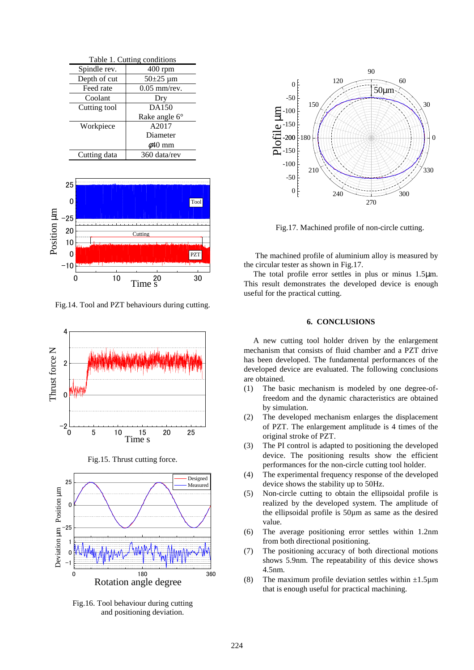| Table 1. Cutting conditions |                             |
|-----------------------------|-----------------------------|
| Spindle rev.                | 400 rpm                     |
| Depth of cut                | $50\pm 25 \,\mathrm{\mu m}$ |
| Feed rate                   | $0.05$ mm/rev.              |
| Coolant                     | Dry                         |
| Cutting tool                | DA150                       |
|                             | Rake angle $6^{\circ}$      |
| Workpiece                   | A2017                       |
|                             | Diameter                    |
|                             | $\phi$ 40 mm                |
| Cutting data                | 360 data/rev                |



Fig.14. Tool and PZT behaviours during cutting.



Fig.15. Thrust cutting force.



Fig.16. Tool behaviour during cutting and positioning deviation.



Fig.17. Machined profile of non-circle cutting.

 The machined profile of aluminium alloy is measured by the circular tester as shown in Fig.17.

The total profile error settles in plus or minus 1.5µm. This result demonstrates the developed device is enough useful for the practical cutting.

# **6. CONCLUSIONS**

A new cutting tool holder driven by the enlargement mechanism that consists of fluid chamber and a PZT drive has been developed. The fundamental performances of the developed device are evaluated. The following conclusions are obtained.

- (1) The basic mechanism is modeled by one degree-offreedom and the dynamic characteristics are obtained by simulation.
- (2) The developed mechanism enlarges the displacement of PZT. The enlargement amplitude is 4 times of the original stroke of PZT.
- (3) The PI control is adapted to positioning the developed device. The positioning results show the efficient performances for the non-circle cutting tool holder.
- (4) The experimental frequency response of the developed device shows the stability up to 50Hz.
- (5) Non-circle cutting to obtain the ellipsoidal profile is realized by the developed system. The amplitude of the ellipsoidal profile is 50µm as same as the desired value.
- (6) The average positioning error settles within 1.2nm from both directional positioning.
- (7) The positioning accuracy of both directional motions shows 5.9nm. The repeatability of this device shows 4.5nm.
- (8) The maximum profile deviation settles within  $\pm 1.5\mu$ m that is enough useful for practical machining.